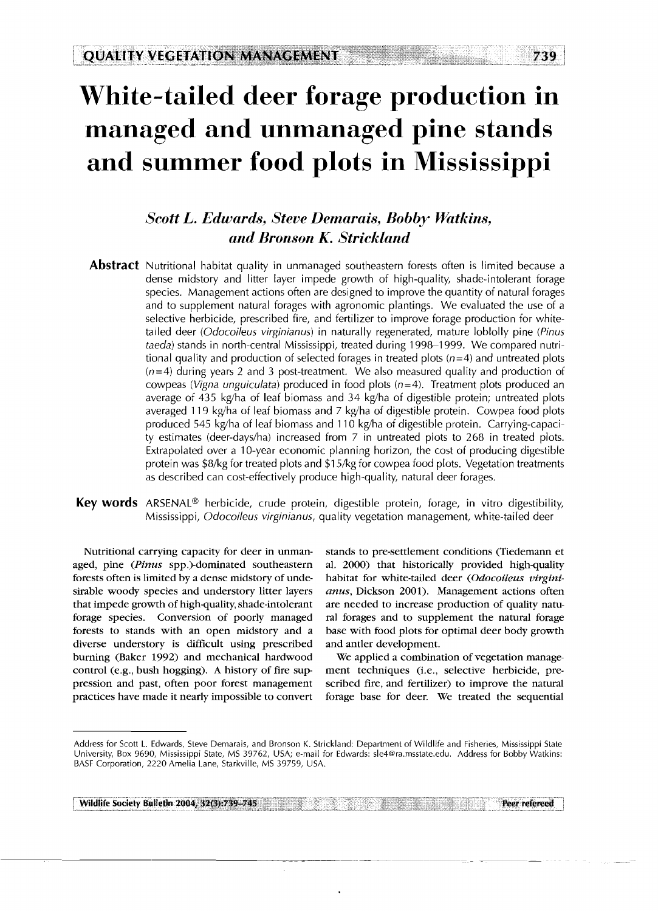# **White-tailed deer forage production in managed and unmanaged pine stands and summer food plots in Mississippi**

# **Scott L. Edwards, Steve Demarais, Bobby Watkins.** *and Bronson K. Strickland*

- **Abstract** Nutritional habitat quality in unmanaged southeastern forests often is limited because a dense midstory and litter layer impede growth of high-quality, shade-intolerant forage species. Management actions often are designed to improve the quantity of natural forages and to supplement natural forages with agronomic plantings. We evaluated the use of a selective herbicide, prescribed fire, and fertilizer to improve forage production for whitetailed deer (Odocoileus virginianus) in naturally regenerated, mature loblolly pine (Pinus taeda) stands in north-central Mississippi, treated during 1998-1 999. We compared nutritional quality and production of selected forages in treated plots  $(n=4)$  and untreated plots  $(n=4)$  during years 2 and 3 post-treatment. We also measured quality and production of cowpeas (Vigna unguiculata) produced in food plots  $(n=4)$ . Treatment plots produced an average of 435 kg/ha of leaf biomass and 34 kg/ha of digestible protein; untreated plots averaged 119 kg/ha of leaf biomass and 7 kg/ha of digestible protein. Cowpea food plots produced 545 kg/ha of leaf biomass and 110 kg/ha of digestible protein. Carrying-capacity estimates (deer-days/ha) increased from  $7$  in untreated plots to 268 in treated plots. Extrapolated over a 10-year economic planning horizon, the cost of producing digestible protein was \$8/kg for treated plots and \$1 5/kg for cowpea food plots. Vegetation treatments as described can cost-effectively produce high-quality, natural deer forages.
- Key words ARSENAL<sup>®</sup> herbicide, crude protein, digestible protein, forage, in vitro digestibility, Mississippi, Odocoileus virginianus, quality vegetation management, white-tailed deer

Nutritional carrying capacity for deer in unmanaged, pine (Pinus spp.)-dominated southeastern forests often is limited by a dense midstory of undesirable woody species and understory litter layers that impede growth of high-quality, shade-intolerant forage species. Conversion of poorly managed forests to stands with an open midstory and a diverse understory is difficult using prescribed burning (Baker 1992) and mechanical hardwood control (e.g., bush hogging). A history of fire suppression and past, often poor forest management practices have made it nearly impossible to convert stands to pre-settlement conditions (Tiedemann et al. 2000) that historically provided high-quality habitat for white-tailed deer (Odocoileus virginianus, Dickson 2001). Management actions often are needed to increase production of quality natural forages and to supplement the natural forage base with food plots for optimal deer body growth and antler development.

We applied a combination of vegetation management techniques (i.e., selective herbicide, prescribed fire, and fertilizer) to improve the natural forage base for deer. We treated the sequential

**Wildlife society Bulletin 2004, 32(3):739-745** .. - **Peer refereed** 

Address for Scott L. Edwards, Steve Demarais, and Bronson K. Strickland: Department of Wildlife and Fisheries, Mississippi State University, Box 9690, Mississippi State, MS 39762, USA; e-mail for Edwards: sle4@ra.msstate.edu. Address for Bobby Watkins: BASF Corporation, 2220 Amelia Lane, Starkville, MS 39759, USA.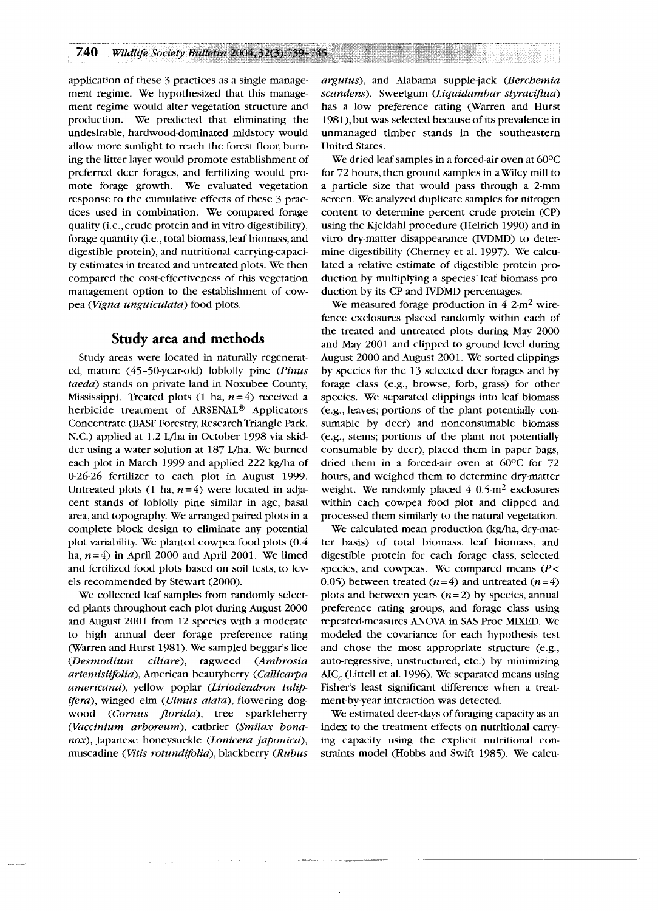application of these 3 practices as a single management regime. We hypothesized that this management regime would alter vegetation structure and production. We predicted that eliminating the undesirable, hardwood-dominated midstory would allow more sunlight to reach the forest floor, burning the litter layer would promote establishment of preferred deer forages, and fertilizing would promote forage growth. We evaluated vegetation response to the cumulative effects of these 3 practices used in combination. We compared forage quality (i.e., crude protein and in vitro digestibility), forage quantity (i.e., total biomass, leaf biomass, and digestible protein), and nutritional carrying-capacity estimates in treated and untreated plots. We then compared the cost-effectiveness of this vegetation management option to the establishment of cowpea (Vigna unguiculata) food plots.

# **Study area and methods**

Study areas were located in naturally regenerated, mature (45-50-year-old) loblolly pine (Pinus taeda) stands on private land in Noxubee County, Mississippi. Treated plots  $(1 \text{ ha}, n = 4)$  received a herbicide treatment of ARSENAL® Applicators Concentrate (BASF Forestry, Research Triangle Park, N.C.) applied at 1.2 L/ha in October 1998 via skidder using a water solution at 187 L/ha. We burned each plot in March 1999 and applied 222 kg/ha of 0-26-26 fertilizer to each plot in August 1999. Untreated plots (1 ha,  $n=4$ ) were located in adjacent stands of loblolly pine similar in age, basal area, and topography. We arranged paired plots in a complete block design to eliminate any potential plot variability. We planted cowpea food plots (0.4 ha,  $n=4$ ) in April 2000 and April 2001. We limed and fertilized food plots based on soil tests, to levels recommended by Stewart (2000).

We collected leaf samples from randomly selected plants throughout each plot during August 2000 and August 2001 from 12 species with a moderate to high annual deer forage preference rating (Warren and Hurst 1981). We sampled beggar's lice (Desmodium ciliare), ragweed (Ambrosia artemisiifolia), American beautyberry (Callicarpa americana), yellow poplar (Liriodendron tulipifera), winged elm (Ulmus alata), flowering dogwood (Cornus florida), tree sparkleberry (Vaccinium arboreum), catbrier (Smilax bonanox), Japanese honeysuckle (Lonicera japonica), muscadine (Vitis rotundifolia), blackberry (Rubus argutus), and Alabama supple-jack (Berchemia scandens). Sweetgum (Liquidambar styraciflua) has a low preference rating (Warren and Hurst 1981), but was selected because of its prevalence in unmanaged timber stands in the southeastern United States.

We dried leaf samples in a forced-air oven at 60°C for 72 hours, then ground samples in a Wiley mill to a particle size that would pass through a 2-mm screen. We analyzed duplicate samples for nitrogen content to determine percent crude protein (CP) using the Kjeldahl procedure (Helrich 1990) and in vitro dry-matter disappearance (IVDMD) to determine digestibility (Cherney et al. 1997). We calculated a relative estimate of digestible protein production by multiplying a species' leaf biomass production by its CP and IVDMD percentages.

We measured forage production in  $4 \, 2 \cdot m^2$  wirefence exclosures placed randomly within each of the treated and untreated plots during May 2000 and May 2001 and clipped to ground level during August 2000 and August 2001. We sorted clippings by species for the 13 selected deer forages and by forage class (e.g., browse, forb, grass) for other species. We separated clippings into leaf biomass (e.g., leaves; portions of the plant potentially consumable by deer) and nonconsumable biomass (e.g., stems; portions of the plant not potentially consumable by deer), placed them in paper bags, dried them in a forced-air oven at 60°C for 72 hours, and weighed them to determine dry-matter weight. We randomly placed  $4 \times 0.5$ -m<sup>2</sup> exclosures within each cowpea food plot and clipped and processed them similarly to the natural vegetation.

We calculated mean production (kg/ha, dry-matter basis) of total biomass, leaf biomass, and digestible protein for each forage class, selected species, and cowpeas. We compared means *(P<*  0.05) between treated ( $n=4$ ) and untreated ( $n=4$ ) plots and between years  $(n=2)$  by species, annual preference rating groups, and forage class using repeated-measures ANOVA in SAS Proc MIXED. We modeled the covariance for each hypothesis test and chose the most appropriate structure (e.g., auto-regressive, unstructured, etc.) by minimizing AIC, (Littell et al. 1996). We separated means using Fisher's least significant difference when a treatment-by-year interaction was detected.

We estimated deer-days of foraging capacity as an index to the treatment effects on nutritional carrying capacity using the explicit nutritional constraints model (Hobbs and Swift 1985). We calcu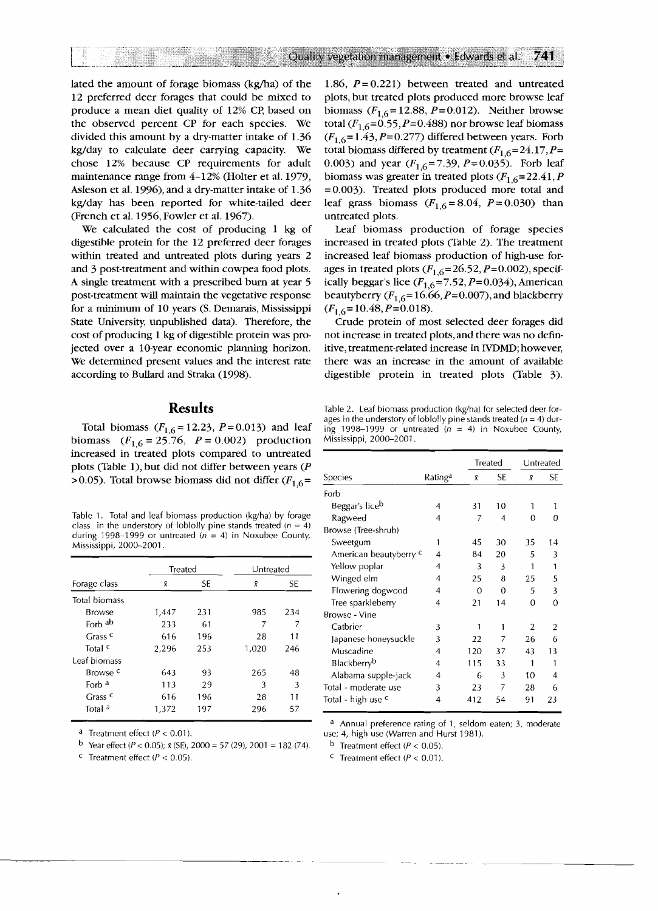lated the amount of forage biomass (kg/ha) of the 12 preferred deer forages that could be mixed to produce a mean diet quality of 12% CP, based on the observed percent CP for each species. We divided this amount by a dry-matter intake of 1.36 kg/day to calculate deer carrying capacity. We chose 12% because CP requirements for adult maintenance range from 4-12% (Holter et al. 1979, Asleson et al. 1996), and a dry-matter intake of 1.36 kg/day has been reported for white-tailed deer (French et al. 1956, Fowler et al. 1967).

We calculated the cost of producing 1 kg of digestible protein for the 12 preferred deer forages within treated and untreated plots during years 2 and 3 post-treatment and within cowpea food plots. A single treatment with a prescribed burn at year 5 post-treatment will maintain the vegetative response for a minimum of 10 years (S. Demarais, Mississippi State University, unpublished data). Therefore, the cost of producing 1 kg of digestible protein was projected over a 10-year economic planning horizon. We determined present values and the interest rate according to Bullard and Straka (1998).

# **Results**

Total biomass  $(F_{1.6} = 12.23, P = 0.013)$  and leaf biomass  $(F_{1,6} = 25.76, P = 0.002)$  production increased in treated plots compared to untreated plots (Table l), but did not differ between years (P >0.05). Total browse biomass did not differ  $(F_{16} =$ 

Table 1. Total and leaf biomass production (kg/ha) by forage class in the understory of loblolly pine stands treated  $(n = 4)$ during 1998–1999 or untreated  $(n = 4)$  in Noxubee County, Mississippi, 2000-2001.

|                     | Treated |     | Untreated |           |
|---------------------|---------|-----|-----------|-----------|
| Forage class        | Ñ       | SE. | Х         | <b>SE</b> |
| Total biomass       |         |     |           |           |
| Browse              | 1,447   | 231 | 985       | 234       |
| Forb ab             | 233     | 61  | 7         |           |
| Grass <sup>c</sup>  | 616     | 196 | 28        | 11        |
| Total <sup>c</sup>  | 2.296   | 253 | 1,020     | 246       |
| Leaf biomass        |         |     |           |           |
| Browse <sup>c</sup> | 643     | 93  | 265       | 48        |
| Forb <sup>a</sup>   | 113     | 29  | 3         | 3         |
| $C$ rass $C$        | 616     | 196 | 28        | 11        |
| Total <sup>a</sup>  | 1.372   | 197 | 296       | 57        |

<sup>a</sup> Treatment effect ( $P < 0.01$ ).

 $C$  Treatment effect ( $P < 0.05$ ).

1.86,  $P = 0.221$ ) between treated and untreated plots, but treated plots produced more browse leaf biomass  $(F_{16} = 12.88, P = 0.012)$ . Neither browse total  $(F_{1,6} = 0.55, P = 0.488)$  nor browse leaf biomass  $(F_{1.6} = 1.43, P = 0.277)$  differed between years. Forb total biomass differed by treatment  $(F_{1,6}=24.17, P=$ 0.003) and year  $(F_{1.6} = 7.39, P = 0.035)$ . Forb leaf biomass was greater in treated plots  $(F_{1,6} = 22.41, P)$ =0.003). Treated plots produced more total and leaf grass biomass  $(F_{1,6} = 8.04, P = 0.030)$  than untreated plots.

Leaf biomass production of forage species increased in treated plots (Table 2). The treatment increased leaf biomass production of high-use forages in treated plots  $(F_{1,6} = 26.52, P = 0.002)$ , specifically beggar's lice  $(F_{1,6}=7.52, P=0.034)$ , American beautyberry ( $F_{1,6}$ = 16.66, P=0.007), and blackberry  $(F_{1,6} = 10.48, P = 0.018).$ 

Crude protein of most selected deer forages did not increase in treated plots, and there was no definitive, treatment-related increase in IVDMD; however, there was an increase in the amount of available digestible protein in treated plots (Table 3).

Table 2. Leaf biomass production (kg/ha) for selected deer forages in the understory of loblolly pine stands treated ( $n = 4$ ) during 1998–1999 or untreated  $(n = 4)$  in Noxubee County, Mississippi, 2000-2001.

|                        |         |                | <b>Treated</b> | Untreated      |          |
|------------------------|---------|----------------|----------------|----------------|----------|
| Species                | Ratinga | Χ              | SE             | Ř              | SE       |
| Forb                   |         |                |                |                |          |
| Beggar's liceb         | 4       | 31             | 10             | 1              | 1        |
| Ragweed                | 4       | $\overline{7}$ | 4              | 0              | 0        |
| Browse (Tree-shrub)    |         |                |                |                |          |
| Sweetgum               | 1       | 45             | 30             | 35             | 14       |
| American beautyberry c | 4       | 84             | 20             | 5              | 3        |
| Yellow poplar          | 4       | 3              | 3              | 1              | 1        |
| Winged elm             | 4       | 25             | 8              | 25             | 5        |
| Flowering dogwood      | 4       | 0              | 0              | 5              | 3        |
| Tree sparkleberry      | 4       | 21             | 14             | 0              | $\Omega$ |
| Browse - Vine          |         |                |                |                |          |
| Catbrier               | 3       | 1              | 1              | $\mathfrak{p}$ | 2        |
| Japanese honeysuckle   | 3       | 22             | 7              | 26             | 6        |
| Muscadine              | 4       | 120            | 37             | 43             | 13       |
| <b>Blackberryb</b>     | 4       | 115            | 33             | 1              | 1        |
| Alabama supple-jack    | 4       | 6              | 3              | 10             | 4        |
| Total - moderate use   | 3       | 23             | 7              | 28             | 6        |
| Total - high use c     | 4       | 412            | 54             | 91             | 23       |

a Annual preference rating of 1, seldom eaten; 3, moderate use; 4, high use (Warren and Hurst 1981).

 $^{\rm b}$  Treatment effect (P < 0.05).

<sup>c</sup> Treatment effect ( $P < 0.01$ ).

<sup>&</sup>lt;sup>b</sup> Year effect ( $P < 0.05$ );  $\bar{x}$  (SE), 2000 = 57 (29), 2001 = 182 (74).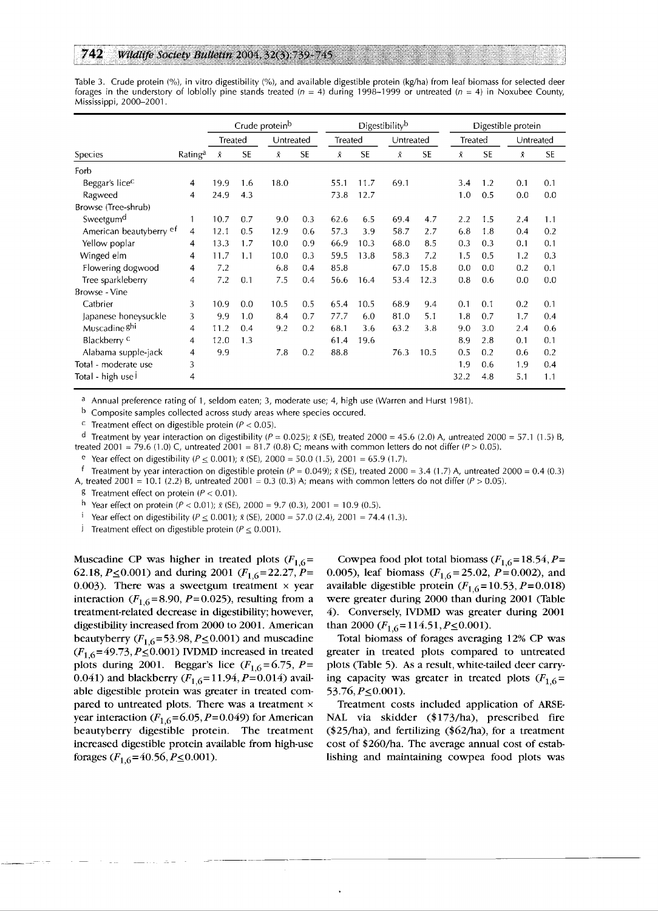#### 742 Wildlife Society Bulletin 2004. 32(3):739-745

Table 3. Crude protein (%), in vitro digestibility (%), and available digestible protein (kg/ha) from leaf biomass for selected deer forages in the understory of loblolly pine stands treated ( $n = 4$ ) during 1998-1999 or untreated ( $n = 4$ ) in Noxubee County, Mississippi, 2000-2001.

|                            |                     | Crude protein <sup>b</sup> |           |           | Digestibilityb |           |           | Digestible protein |           |      |           |           |           |
|----------------------------|---------------------|----------------------------|-----------|-----------|----------------|-----------|-----------|--------------------|-----------|------|-----------|-----------|-----------|
|                            |                     | Treated                    |           |           | Untreated      |           | Treated   |                    | Untreated |      | Treated   |           | Untreated |
| Species                    | Rating <sup>a</sup> | Ñ.                         | <b>SE</b> | $\bar{X}$ | <b>SE</b>      | $\bar{X}$ | <b>SE</b> | $\bar{X}$          | <b>SE</b> | Ā.   | <b>SE</b> | $\bar{X}$ | <b>SE</b> |
| Forb                       |                     |                            |           |           |                |           |           |                    |           |      |           |           |           |
| Beggar's lice <sup>c</sup> | 4                   | 19.9                       | 1.6       | 18.0      |                | 55.1      | 11.7      | 69.1               |           | 3.4  | 1.2       | 0.1       | 0.1       |
| Ragweed                    | 4                   | 24.9                       | 4.3       |           |                | 73.8      | 12.7      |                    |           | 1.0  | 0.5       | 0.0       | 0.0       |
| Browse (Tree-shrub)        |                     |                            |           |           |                |           |           |                    |           |      |           |           |           |
| Sweetgum <sup>d</sup>      | 1                   | 10.7                       | 0.7       | 9.0       | 0.3            | 62.6      | 6.5       | 69.4               | 4.7       | 2.2  | 1.5       | 2.4       | 1.1       |
| American beautyberry et    | 4                   | 12.1                       | 0.5       | 12.9      | 0.6            | 57.3      | 3.9       | 58.7               | 2.7       | 6.8  | 1.8       | 0.4       | 0.2       |
| Yellow poplar              | 4                   | 13.3                       | 1.7       | 10.0      | 0.9            | 66.9      | 10.3      | 68.0               | 8.5       | 0.3  | 0.3       | 0.1       | 0.1       |
| Winged elm                 | 4                   | 11.7                       | 1.1       | 10.0      | 0.3            | 59.5      | 13.8      | 58.3               | 7.2       | 1.5  | 0.5       | 1.2       | 0.3       |
| Flowering dogwood          | 4                   | 7.2                        |           | 6.8       | 0.4            | 85.8      |           | 67.0               | 15.8      | 0.0  | 0.0       | 0.2       | 0.1       |
| Tree sparkleberry          | 4                   | 7.2                        | 0.1       | 7.5       | 0.4            | 56.6      | 16.4      | 53.4               | 12.3      | 0.8  | 0.6       | 0.0       | 0.0       |
| Browse - Vine              |                     |                            |           |           |                |           |           |                    |           |      |           |           |           |
| Catbrier                   | 3                   | 10.9                       | 0.0       | 10.5      | 0.5            | 65.4      | 10.5      | 68.9               | 9.4       | 0.1  | 0.1       | 0.2       | 0.1       |
| Japanese honeysuckle       | 3                   | 9.9                        | 1.0       | 8.4       | 0.7            | 77.7      | 6.0       | 81.0               | 5.1       | 1.8  | 0.7       | 1.7       | 0.4       |
| Muscadine ghi              | 4                   | 11.2                       | 0.4       | 9.2       | 0.2            | 68.1      | 3.6       | 63.2               | 3.8       | 9.0  | 3.0       | 2.4       | 0.6       |
| Blackberry <sup>c</sup>    | 4                   | 12.0                       | 1.3       |           |                | 61.4      | 19.6      |                    |           | 8.9  | 2.8       | 0.1       | 0.1       |
| Alabama supple-jack        | $\overline{4}$      | 9.9                        |           | 7.8       | 0.2            | 88.8      |           | 76.3               | 10.5      | 0.5  | 0.2       | 0.6       | 0.2       |
| Total - moderate use       | 3                   |                            |           |           |                |           |           |                    |           | 1.9  | 0.6       | 1.9       | 0.4       |
| Total - high use I         | 4                   |                            |           |           |                |           |           |                    |           | 32.2 | 4.8       | 5.1       | 1.1       |

 $a$  Annual preference rating of 1, seldom eaten; 3, moderate use; 4, high use (Warren and Hurst 1981).

b Composite samples collected across study areas where species occured.

<sup>c</sup> Treatment effect on digestible protein ( $P < 0.05$ ).

<sup>d</sup> Treatment by year interaction on digestibility ( $P = 0.025$ );  $\bar{x}$  (SE), treated 2000 = 45.6 (2.0) A, untreated 2000 = 57.1 (1.5) B, treated 2001 = 79.6 (1.0) C, untreated 2001 = 81.7 (0.8) C; means with common letters do not differ (P > 0.05).

Year effect on digestibility ( $P \le 0.001$ );  $\bar{x}$  (SE), 2000 = 50.0 (1.5), 2001 = 65.9 (1.7).

f Treatment by year interaction on digestible protein  $(P = 0.049)$ ;  $\bar{x}$  (SE), treated 2000 = 3.4 (1.7) A, untreated 2000 = 0.4 (0.3)

A, treated 2001 = 10.1 (2.2) B, untreated 2001 = 0.3 (0.3) A; means with common letters do not differ ( $P > 0.05$ ).

**g** Treatment effect on protein ( $P < 0.01$ ).

h Year effect on protein ( $P < 0.01$ );  $\bar{x}$  (SE), 2000 = 9.7 (0.3), 2001 = 10.9 (0.5).

<sup>i</sup> Year effect on digestibility ( $P < 0.001$ );  $\bar{x}$  (SE), 2000 = 57.0 (2.4), 2001 = 74.4 (1.3).

I Treatment effect on digestible protein ( $P \leq 0.001$ ).

Muscadine CP was higher in treated plots  $(F_{1,6} =$ 62.18,  $P \le 0.001$ ) and during 2001 ( $F_{1,6} = 22.27$ ,  $P =$ *0.003).* **There was a sweetgum treatment x year interaction**  $(F_{1,6} = 8.90, P = 0.025)$ , resulting from a **treatment-related decrease in digestibility; however, digestibility increased from** *2000* **to** *200 1.* **American beautyberry**  $(F_{1,6} = 53.98, P \le 0.001)$  and muscadine  $(F_{1,6} = 49.73, P \le 0.001)$  **IVDMD** increased in treated **plots during 2001. Beggar's lice**  $(F_{1,6} = 6.75, P = 1)$ 0.041) and blackberry  $(F_{1,6}=11.94, P=0.014)$  avail**able digestible protein was greater in treated compared to untreated plots. There was a treatment x year interaction**  $(F_{1,6} = 6.05, P = 0.049)$  for American **beautyberry digestible protein. The treatment increased digestible protein available from high-use**  forages  $(F_{1,6} = 40.56, P \le 0.001)$ .

Cowpea food plot total biomass  $(F_{1,6} = 18.54, P =$ *0.005),* **leaf biomass** *(F1,6* = *25.02, P= 0.002),* **and**  available digestible protein  $(F_{1,6} = 10.53, P = 0.018)$ **were greater during** *2000* **than during** *2001* **(Table**  *4).* **Conversely, IVDMD was greater during** *2001*  than 2000 ( $F_{1,6}$ =114.51, *P* ≤ 0.001).

**Total biomass of forages averaging** *12%* **CP was greater in treated plots compared to untreated plots (Table** *5).* **As a result, white-tailed deer carry**ing capacity was greater in treated plots  $(F_{1,6} =$  $53.76, P \leq 0.001$ ).

**Treatment costs included application of ARSE-NAL via skidder** *(\$173/ha),* **prescribed fire**  *(\$25/ha),* **and fertilizing** *(\$62/ha),* **for a treatment cost of** *\$260/ha.* **The average annual cost of establishing and maintaining cowpea food plots was**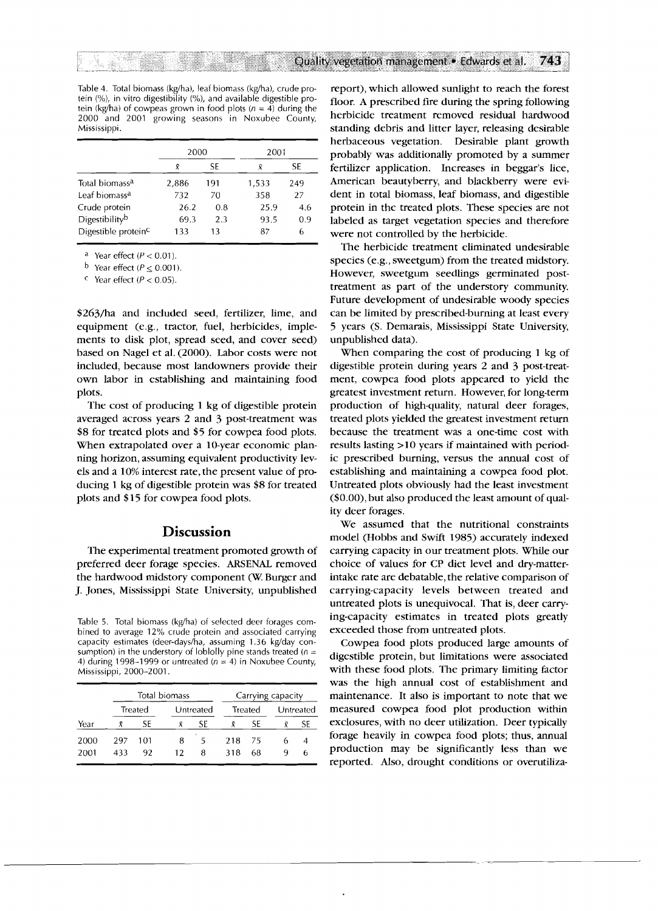Table 4. Total biomass (kg/ha), leaf biomass (kg/ha), crude protein (%), in vitro digestibility (%), and available digestible protein (kg/ha) of cowpeas grown in food plots ( $n = 4$ ) during the 2000 and 2001 growing seasons in Noxubee County, Mississippi.

|                                 | 2000    |     | 2001  |     |  |  |
|---------------------------------|---------|-----|-------|-----|--|--|
|                                 | SE<br>R |     | R     | SE  |  |  |
| Total biomass <sup>a</sup>      | 2,886   | 191 | 1,533 | 249 |  |  |
| Leaf biomass <sup>a</sup>       | 732     | 70  | 358   | 27  |  |  |
| Crude protein                   | 26.2    | 0.8 | 25.9  | 4.6 |  |  |
| Digestibility <sup>b</sup>      | 69.3    | 2.3 | 93.5  | 0.9 |  |  |
| Digestible protein <sup>c</sup> | 133     | 13  | 87    | 6   |  |  |

<sup>a</sup> Year effect ( $P < 0.01$ ).

<sup>b</sup> Year effect ( $P \le 0.001$ ).

Pear effect ( $P < 0.05$ ).

\$263/ha and included seed, fertilizer, lime, and equipment (e.g., tractor, fuel, herbicides, implements to disk plot, spread seed, and cover seed) based on Nagel et al. (2000). Labor costs were not included, because most landowners provide their own labor in establishing and maintaining food plots.

The cost of producing 1 kg of digestible protein averaged across years 2 and 3 post-treatment was \$8 for treated plots and \$5 for cowpea food plots. When extrapolated over a 10-year economic planning horizon, assuming equivalent productivity levels and a 10% interest rate, the present value of producing 1 kg of digestible protein was \$8 for treated plots and \$15 for cowpea food plots.

### **Discussion**

The experimental treatment promoted growth of preferred deer forage species. ARSENAL removed the hardwood midstory component (W. Burger and J. Jones, Mississippi State University, unpublished

Table 5. Total biomass (kg/ha) of selected deer forages combined to average 12% crude protein and associated carrying capacity estimates (deer-days/ha, assuming 1.36 kg/day consumption) in the understory of loblolly pine stands treated ( $n =$ 4) during 1998-1999 or untreated ( $n = 4$ ) in Noxubee County, Mississippi, 2000-2001.

|      |     |                      | Total biomass |    | Carrying capacity |           |  |    |  |  |
|------|-----|----------------------|---------------|----|-------------------|-----------|--|----|--|--|
|      |     | Treated<br>Untreated |               |    | Treated           | Untreated |  |    |  |  |
| Year |     | SF                   |               | SF |                   | SF        |  | SF |  |  |
| 2000 | 297 | 101                  | 8             | ъ. | 218               | 75        |  |    |  |  |
| 2001 | 433 | 92                   | 12            | я  | 318               | 68        |  |    |  |  |
|      |     |                      |               |    |                   |           |  |    |  |  |

report), which allowed sunlight to reach the forest floor. A prescribed fire during the spring following herbicide treatment removed residual hardwood standing debris and litter layer, releasing desirable herbaceous vegetation. Desirable plant growth probably was additionally promoted by a summer fertilizer application. Increases in beggar's lice, American beautyberry, and blackberry were evident in total biomass, leaf biomass, and digestible protein in the treated plots. These species are not labeled as target vegetation species and therefore were not controlled by the herbicide.

The herbicide treatment eliminated undesirable species (e.g., sweetgum) from the treated midstory. However, sweetgum seedlings germinated posttreatment as part of the understory community. Future development of undesirable woody species can be limited by prescribed-burning at least every 5 years (S. Demarais, Mississippi State University, unpublished data).

When comparing the cost of producing 1 kg of digestible protein during years 2 and 3 post-treatment, cowpea food plots appeared to yield the greatest investment return. However, for long-term production of high-quality, natural deer forages, treated plots yielded the greatest investment return because the treatment was a one-time cost with results lasting >10 years if maintained with periodic prescribed burning, versus the annual cost of establishing and maintaining a cowpea food plot. Untreated plots obviously had the least investment (\$0.00), but also produced the least amount of quality deer forages.

We assumed that the nutritional constraints model (Hobbs and Swift 1985) accurately indexed carrying capacity in our treatment plots. While our choice of values for CP diet level and dry-matterintake rate are debatable, the relative comparison of carrying-capacity levels between treated and untreated plots is unequivocal. That is, deer carrying-capacity estimates in treated plots greatly exceeded those from untreated plots.

Cowpea food plots produced large amounts of digestible protein, but limitations were associated with these food plots. The primary limiting factor was the high annual cost of establishment and maintenance. It also is important to note that we measured cowpea food plot production within exclosures, with no deer utilization. Deer typically forage heavily in cowpea food plots; thus, annual production may be significantly less than we reported. Also, drought conditions or overutiliza-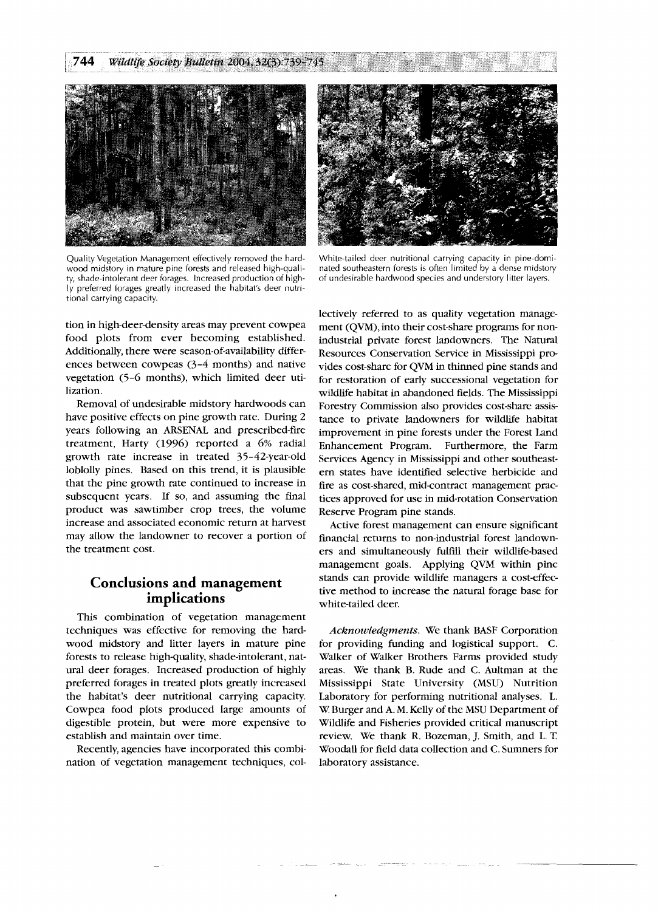

Quality Vegetation Management effectively removed the hardwood midstory in mature pine forests and released high-quality, shade-intolerant deer forages. Increased production of highly preferred forages greatly increased the habitat's deer nutritional carrying capacity.

tion in high-deer-density areas may prevent cowpea food plots from ever becoming established. Additionally, there were season-of-availability differences between cowpeas (3-4 months) and native vegetation (5-6 months), which limited deer utilization.

Removal of undesirable midstory hardwoods can have positive effects on pine growth rate. During 2 years following an ARSENAL and prescribed-fire treatment, Harty (1996) reported a 6% radial growth rate increase in treated 35-42-year-old loblolly pines. Based on this trend, it is plausible that the pine growth rate continued to increase in subsequent years. If so, and assuming the final product was sawtimber crop trees, the volume increase and associated economic return at harvest may allow the landowner to recover a portion of the treatment cost.

# **Conclusions and management implications**

This combination of vegetation management techniques was effective for removing the hardwood midstory and litter layers in mature pine forests to release high-quality, shade-intolerant, natural deer forages. Increased production of highly preferred forages in treated plots greatly increased the habitat's deer nutritional carrying capacity. Cowpea food plots produced large amounts of digestible protein, but were more expensive to establish and maintain over time.

Recently, agencies have incorporated this combination of vegetation management techniques, col-



White-tailed deer nutritional carrying capacity in pine-dominated southeastern forests is often limited by a dense midstory of undesirable hardwood species and understory litter layers.

lectively referred to as quality vegetation management (QVM), into their cost-share programs for nonindustrial private forest landowners. The Natural Resources Conservation Service in Mississippi provides cost-share for QVM in thinned pine stands and for restoration of early successional vegetation for wildlife habitat in abandoned fields. The Mississippi Forestry Commission also provides cost-share assistance to private landowners for wildlife habitat improvement in pine forests under the Forest Land Enhancement Program. Furthermore, the Farm Services Agency in Mississippi and other southeastern states have identified selective herbicide and fire as cost-shared, mid-contract management practices approved for use in mid-rotation Conservation Reserve Program pine stands.

Active forest management can ensure significant financial returns to non-industrial forest landowners and simultaneously fulfill their wildlife-based management goals. Applying QVM within pine stands can provide wildlife managers a cost-effective method to increase the natural forage base for white-tailed deer.

*Acknou~ledgments.* We thank BASF Corporation for providing funding and logistical support. C. Walker of Walker Brothers Farms provided study areas. We thank B. Rude and C. Aultman at the Mississippi State University (MSU) Nutrition Laboratory for performing nutritional analyses. L. W. Burger and A. M. Kelly of the MSU Department of Wildlife and Fisheries provided critical manuscript review. We thank R. Bozeman, J. Smith, and L. T. Woodall for field data collection and C. Sumners for laboratory assistance.